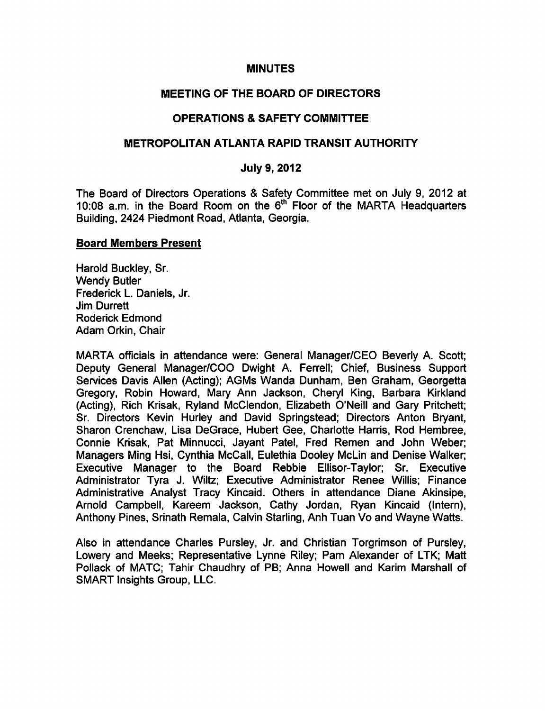### MINUTES

## MEETING OF THE BOARD OF DIRECTORS

# OPERATIONS & SAFETY COMMITTEE

### METROPOLITAN ATLANTA RAPID TRANSIT AUTHORITY

### July 9, 2012

The Board of Directors Operations & Safety Committee met on July 9, 2012 at 10:08 a.m. in the Board Room on the 6<sup>th</sup> Floor of the MARTA Headquarters Building, 2424 Piedmont Road, Atlanta, Georgia.

#### Board Members Present

Harold Buckley, Sr. Wendy Butler Frederick L. Daniels, Jr. Jim Durrett Roderick Edmond Adam Orkin, Chair

MARTA officials in attendance were: General Manager/CEO Beverly A. Scott; Deputy General Manager/COO Dwight A. Ferrell; Chief, Business Support Services Davis Allen (Acting); AGMs Wanda Dunham, Ben Graham, Georgetta Gregory, Robin Howard, Mary Ann Jackson, Cheryl King, Barbara Kirkland (Acting), Rich Krisak, Ryland McClendon, Elizabeth O'Neill and Gary Pritchett; Sr. Directors Kevin Hurley and David Springstead; Directors Anton Bryant, Sharon Crenchaw, Lisa DeGrace, Hubert Gee, Charlotte Harris, Rod Hembree, Connie Krisak, Pat Minnucci, Jayant Patel, Fred Remen and John Weber; Managers Ming Hsi, Cynthia McCall, Eulethia Dooley McLin and Denise Walker; Executive Manager to the Board Rebbie Ellisor-Taylor; Sr. Executive Administrator Tyra J. Wiltz; Executive Administrator Renee Willis; Finance Administrative Analyst Tracy Kincaid. Others in attendance Diane Akinsipe, Arnold Campbell, Kareem Jackson, Cathy Jordan, Ryan Kincaid (Intern), Anthony Pines, Srinath Remala, Calvin Starling, Anh Tuan Vo and Wayne Watts.

Also in attendance Charles Pursley, Jr. and Christian Torgrimson of Pursley, Lowery and Meeks; Representative Lynne Riley; Pam Alexander of LTK; Matt Pollack of MATC; Tahir Chaudhry of PB; Anna Howell and Karim Marshall of SMART Insights Group, LLC.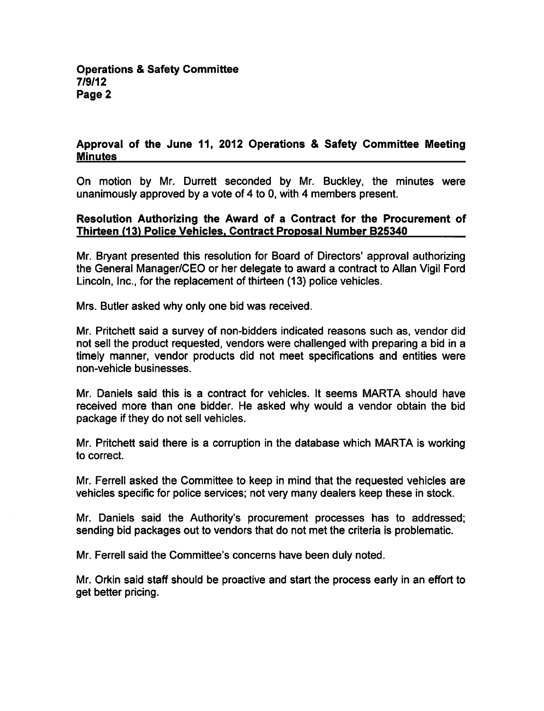# Approval of the June 11, 2012 Operations & Safety Committee Meeting **Minutes**

On motion by Mr. Durrett seconded by Mr. Buckley, the minutes were unanimously approved by a vote of 4 to 0, with 4 members present.

### Resolution Authorizing the Award of a Contract for the Procurement of Thirteen (13) Police Vehicles. Contract Proposal Number B25340

Mr. Bryant presented this resolution for Board of Directors' approval authorizing the General Manager/CEO or her delegate to award a contract to Allan Vigil Ford Lincoln, Inc., for the replacement of thirteen (13) police vehicles.

Mrs. Butler asked why only one bid was received.

Mr. Pritchett said a survey of non-bidders indicated reasons such as, vendor did not sell the product requested, vendors were challenged with preparing a bid in a timely manner, vendor products did not meet specifications and entities were non-vehicle businesses.

Mr. Daniels said this is a contract for vehicles. It seems MARTA should have received more than one bidder. He asked why would a vendor obtain the bid package if they do not sell vehicles.

Mr. Pritchett said there is a corruption in the database which MARTA is working to correct.

Mr. Ferrell asked the Committee to keep in mind that the requested vehicles are vehicles specific for police services; not very many dealers keep these in stock.

Mr. Daniels said the Authority's procurement processes has to addressed; sending bid packages out to vendors that do not met the criteria is problematic.

Mr. Ferrell said the Committee's concerns have been duly noted.

Mr. Orkin said staff should be proactive and start the process early in an effort to get better pricing.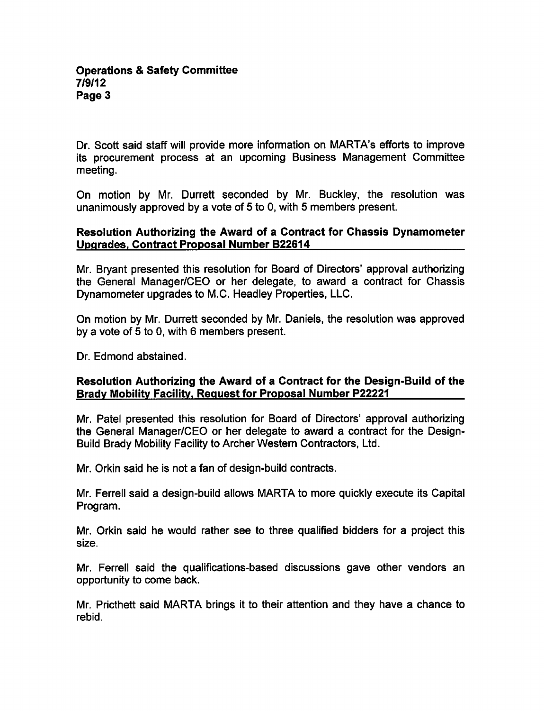Dr. Scott said staff will provide more information on MARTA's efforts to improve its procurement process at an upcoming Business Management Committee meeting.

On motion by Mr. Durrett seconded by Mr. Buckley, the resolution was unanimously approved by a vote of  $5$  to 0, with  $5$  members present.

# Resolution Authorizing the Award of a Contract for Chassis Dynamometer Upgrades. Contract Proposal Number B22614

Mr. Bryant presented this resolution for Board of Directors' approval authorizing the General Manager/CEO or her delegate, to award a contract for Chassis Dynamometer upgrades to M.C. Headley Properties, LLC.

On motion by Mr. Durrett seconded by Mr. Daniels, the resolution was approved by a vote of  $5$  to  $0$ , with  $6$  members present.

Dr. Edmond abstained.

# Resolution Authorizing the Award of a Contract for the Design-Build of the Brady Mobility Facility, Request for Proposal Number P22221

Mr. Patel presented this resolution for Board of Directors' approval authorizing the General Manager/CEO or her delegate to award a contract for the Design-Build Brady Mobility Facility to Archer Western Contractors, Ltd.

Mr. Orkin said he is not a fan of design-build contracts.

Mr. Ferrell said design-build allows MARTA to more quickly execute its Capital Program.

Mr. Orkin said he would rather see to three qualified bidders for a project this size.

Mr. Ferrell said the qualifications-based discussions gave other vendors an opportunity to come back.

Mr. Pricthett said MARTA brings it to their attention and they have a chance to rebid.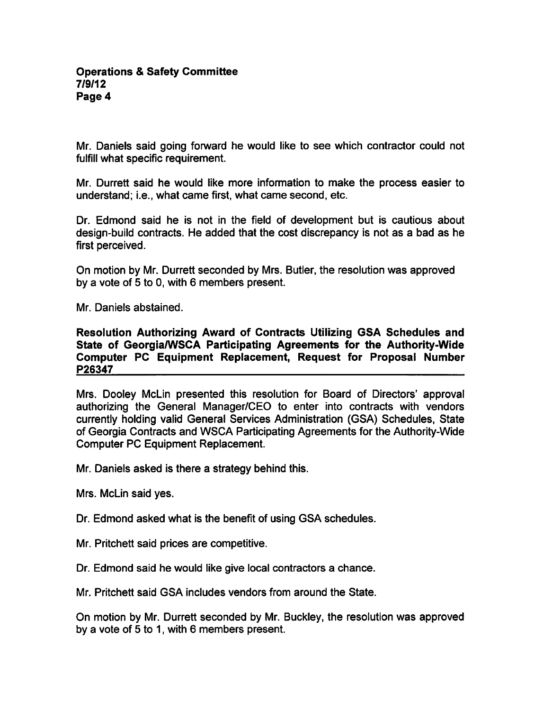Mr. Daniels said going forward he would like to see which contractor could not fulfill what specific requirement.

Mr. Durrett said he would like more information to make the process easier to understand; i.e., what came first, what came second, etc.

Dr. Edmond said he is not in the field of development but is cautious about design-build contracts. He added that the cost discrepancy is not as a bad as he first perceived.

On motion by Mr. Durrett seconded by Mrs. Butler, the resolution was approved by a vote of 5 to 0, with 6 members present.

Mr. Daniels abstained.

Resolution Authorizing Award of Contracts Utilizing GSA Schedules and State of Georgia/WSCA Participating Agreements for the Authority-Wide Computer PC Equipment Replacement, Request for Proposal Number P26347

Mrs. Dooley McLin presented this resolution for Board of Directors' approval authorizing the General Manager/CEO to enter into contracts with vendors currently holding valid General Services Administration (GSA) Schedules, State of Georgia Contracts and WSCA Participating Agreements for the Authority-Wide Computer PC Equipment Replacement.

Mr. Daniels asked is there a strategy behind this.

Mrs. McLin said yes.

Dr. Edmond asked what is the benefit of using GSA schedules.

- Mr. Pritchett said prices are competitive.
- Dr. Edmond said he would like give local contractors a chance.

Mr. Pritchett said GSA includes vendors from around the State.

On motion by Mr. Durrett seconded by Mr. Buckley, the resolution was approved by a vote of  $5$  to 1, with 6 members present.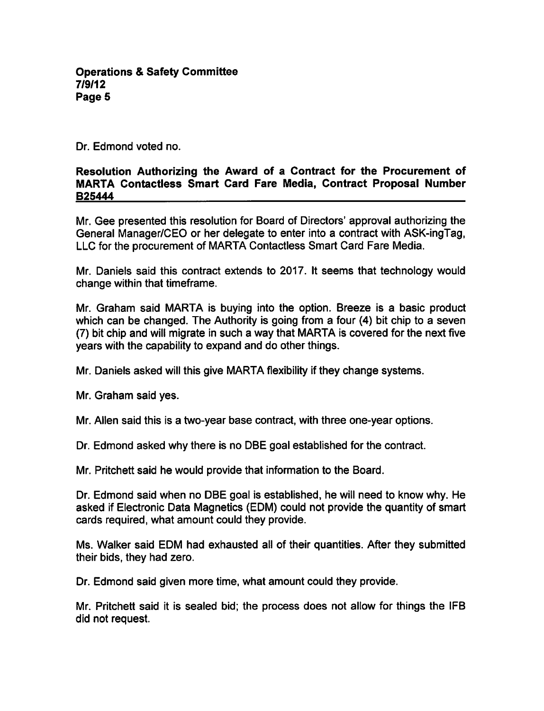**Operations & Safety Committee** 7/9/12 Page 5

Dr. Edmond voted no.

### Resolution Authorizing the Award of a Contract for the Procurement of MARTA Contactless Smart Card Fare Media, Contract Proposal Number B25444

Mr. Gee presented this resolution for Board of Directors' approval authorizing the General Manager/CEO or her delegate to enter into a contract with ASK-ingTag, LLC for the procurement of MARTA Contactless Smart Card Fare Media.

Mr. Daniels said this contract extends to 2017. It seems that technology would change within that timeframe.

Mr. Graham said MARTA is buying into the option. Breeze is a basic product which can be changed. The Authority is going from a four (4) bit chip to a seven  $(7)$  bit chip and will migrate in such a way that MARTA is covered for the next five years with the capability to expand and do other things.

Mr. Daniels asked will this give MARTA flexibility if they change systems.

Mr. Graham said yes.

Mr. Allen said this is a two-year base contract, with three one-year options.

Dr. Edmond asked why there is no DBE goal established for the contract.

Mr. Pritchett said he would provide that information to the Board.

Dr. Edmond said when no DBE goal is established, he will need to know why. He asked if Electronic Data Magnetics (EDM) could not provide the quantity of smart cards required, what amount could they provide.

Ms. Walker said EDM had exhausted all of their quantities. After they submitted their bids, they had zero.

Dr. Edmond said given more time, what amount could they provide.

Mr. Pritchett said it is sealed bid; the process does not allow for things the IFB did not request.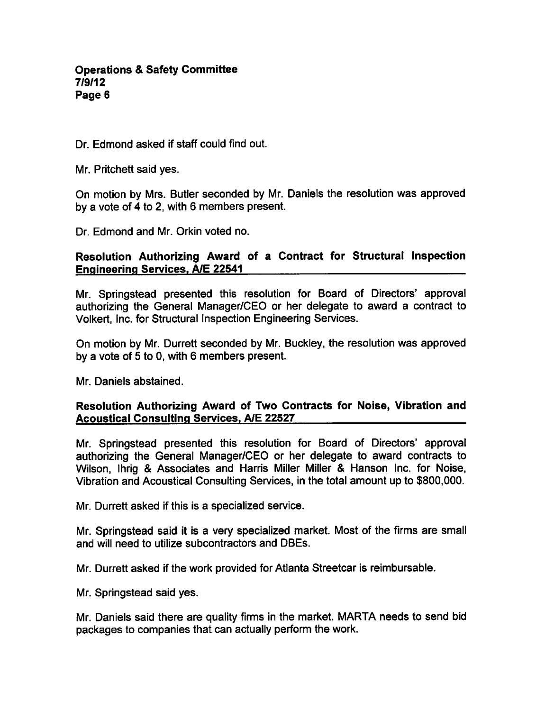Dr. Edmond asked if staff could find out.

Mr. Pritchett said yes.

On motion by Mrs. Butler seconded by Mr. Daniels the resolution was approved by a vote of 4 to 2, with 6 members present.

Dr. Edmond and Mr. Orkin voted no.

# Resolution Authorizing Award of a Contract for Structural Inspection Engineering Services. A/E 22541

Mr. Springstead presented this resolution for Board of Directors' approval authorizing the General Manager/CEO or her delegate to award a contract to Volkert, Inc. for Structural Inspection Engineering Services.

On motion by Mr. Durrett seconded by Mr. Buckley, the resolution was approved by a vote of  $5$  to  $0$ , with  $6$  members present.

Mr. Daniels abstained.

# Resolution Authorizing Award of Two Contracts for Noise, Vibration and Acoustical Consulting Services. A/E 22527

Mr. Springstead presented this resolution for Board of Directors' approval authorizing the General Manager/CEO or her delegate to award contracts to Wilson, Ihrig & Associates and Harris Miller Miller & Hanson Inc. for Noise, Vibration and Acoustical Consulting Services, in the total amount up to \$800,000.

Mr. Durrett asked if this is a specialized service.

Mr. Springstead said it is a very specialized market. Most of the firms are small and will need to utilize subcontractors and DBEs.

Mr. Durrett asked if the work provided for Atlanta Streetcar is reimbursable.

Mr. Springstead said yes.

Mr. Daniels said there are quality firms in the market. MARTA needs to send bid packages to companies that can actually perform the work.